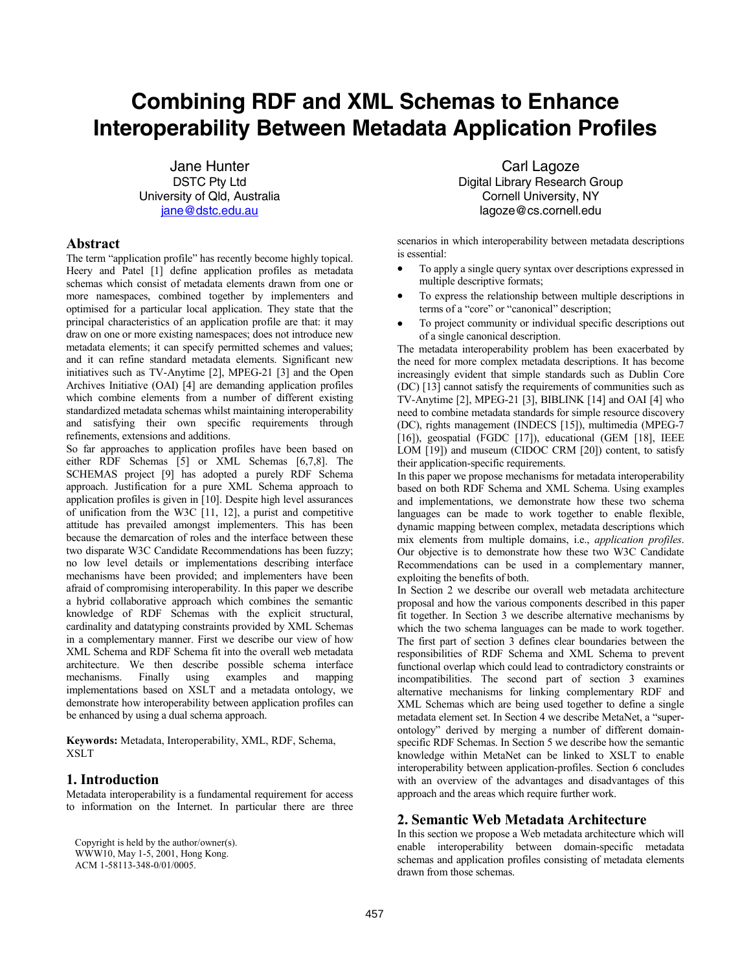# **Combining RDF and XML Schemas to Enhance Interoperability Between Metadata Application Profiles**

Jane Hunter DSTC Pty Ltd University of Qld, Australia jane@dstc.edu.au

### **Abstract**

The term "application profile" has recently become highly topical. Heery and Patel [1] define application profiles as metadata schemas which consist of metadata elements drawn from one or more namespaces, combined together by implementers and optimised for a particular local application. They state that the principal characteristics of an application profile are that: it may draw on one or more existing namespaces; does not introduce new metadata elements; it can specify permitted schemes and values; and it can refine standard metadata elements. Significant new initiatives such as TV-Anytime [2], MPEG-21 [3] and the Open Archives Initiative (OAI) [4] are demanding application profiles which combine elements from a number of different existing standardized metadata schemas whilst maintaining interoperability and satisfying their own specific requirements through refinements, extensions and additions.

So far approaches to application profiles have been based on either RDF Schemas [5] or XML Schemas [6,7,8]. The SCHEMAS project [9] has adopted a purely RDF Schema approach. Justification for a pure XML Schema approach to application profiles is given in [10]. Despite high level assurances of unification from the W3C [11, 12], a purist and competitive attitude has prevailed amongst implementers. This has been because the demarcation of roles and the interface between these two disparate W3C Candidate Recommendations has been fuzzy; no low level details or implementations describing interface mechanisms have been provided; and implementers have been afraid of compromising interoperability. In this paper we describe a hybrid collaborative approach which combines the semantic knowledge of RDF Schemas with the explicit structural, cardinality and datatyping constraints provided by XML Schemas in a complementary manner. First we describe our view of how XML Schema and RDF Schema fit into the overall web metadata architecture. We then describe possible schema interface mechanisms. Finally using examples and mapping implementations based on XSLT and a metadata ontology, we demonstrate how interoperability between application profiles can be enhanced by using a dual schema approach.

**Keywords:** Metadata, Interoperability, XML, RDF, Schema, XSLT

### **1. Introduction**

Metadata interoperability is a fundamental requirement for access to information on the Internet. In particular there are three

Copyright is held by the author/owner(s). WWW10, May 1-5, 2001, Hong Kong. ACM 1-58113-348-0/01/0005.

Carl Lagoze Digital Library Research Group Cornell University, NY lagoze@cs.cornell.edu

scenarios in which interoperability between metadata descriptions is essential:

- To apply a single query syntax over descriptions expressed in multiple descriptive formats;
- To express the relationship between multiple descriptions in terms of a "core" or "canonical" description;
- To project community or individual specific descriptions out of a single canonical description.

The metadata interoperability problem has been exacerbated by the need for more complex metadata descriptions. It has become increasingly evident that simple standards such as Dublin Core (DC) [13] cannot satisfy the requirements of communities such as TV-Anytime [2], MPEG-21 [3], BIBLINK [14] and OAI [4] who need to combine metadata standards for simple resource discovery (DC), rights management (INDECS [15]), multimedia (MPEG-7 [16]), geospatial (FGDC [17]), educational (GEM [18], IEEE LOM [19]) and museum (CIDOC CRM [20]) content, to satisfy their application-specific requirements.

In this paper we propose mechanisms for metadata interoperability based on both RDF Schema and XML Schema. Using examples and implementations, we demonstrate how these two schema languages can be made to work together to enable flexible, dynamic mapping between complex, metadata descriptions which mix elements from multiple domains, i.e., *application profiles*. Our objective is to demonstrate how these two W3C Candidate Recommendations can be used in a complementary manner, exploiting the benefits of both.

In Section 2 we describe our overall web metadata architecture proposal and how the various components described in this paper fit together. In Section 3 we describe alternative mechanisms by which the two schema languages can be made to work together. The first part of section 3 defines clear boundaries between the responsibilities of RDF Schema and XML Schema to prevent functional overlap which could lead to contradictory constraints or incompatibilities. The second part of section 3 examines alternative mechanisms for linking complementary RDF and XML Schemas which are being used together to define a single metadata element set. In Section 4 we describe MetaNet, a "superontology" derived by merging a number of different domainspecific RDF Schemas. In Section 5 we describe how the semantic knowledge within MetaNet can be linked to XSLT to enable interoperability between application-profiles. Section 6 concludes with an overview of the advantages and disadvantages of this approach and the areas which require further work.

### **2. Semantic Web Metadata Architecture**

In this section we propose a Web metadata architecture which will enable interoperability between domain-specific metadata schemas and application profiles consisting of metadata elements drawn from those schemas.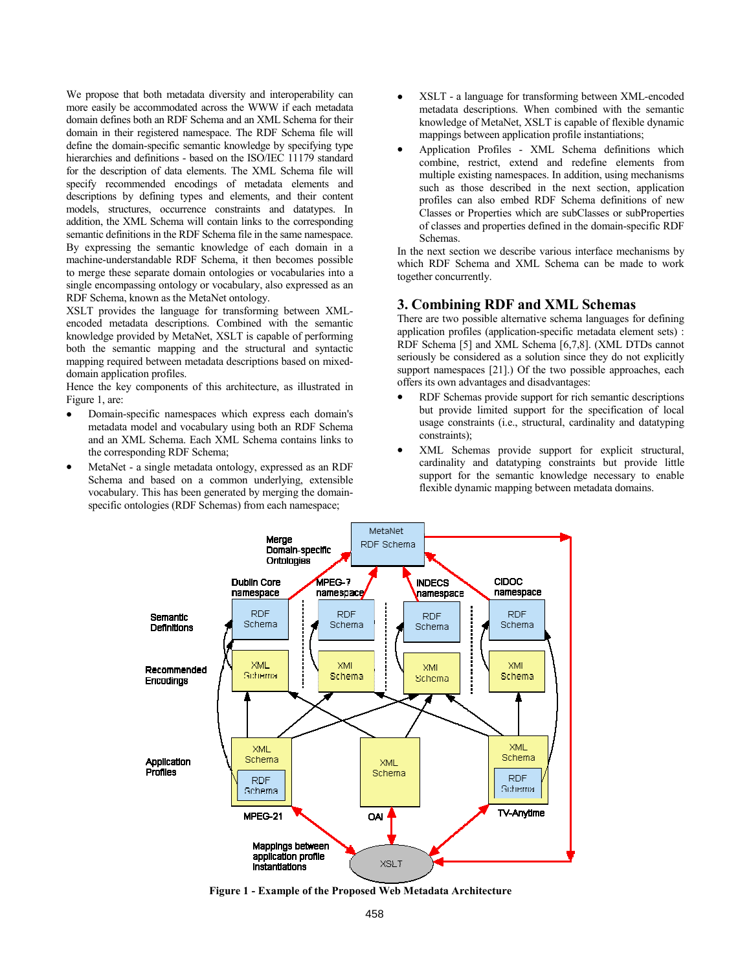We propose that both metadata diversity and interoperability can more easily be accommodated across the WWW if each metadata domain defines both an RDF Schema and an XML Schema for their domain in their registered namespace. The RDF Schema file will define the domain-specific semantic knowledge by specifying type hierarchies and definitions - based on the ISO/IEC 11179 standard for the description of data elements. The XML Schema file will specify recommended encodings of metadata elements and descriptions by defining types and elements, and their content models, structures, occurrence constraints and datatypes. In addition, the XML Schema will contain links to the corresponding semantic definitions in the RDF Schema file in the same namespace. By expressing the semantic knowledge of each domain in a machine-understandable RDF Schema, it then becomes possible to merge these separate domain ontologies or vocabularies into a single encompassing ontology or vocabulary, also expressed as an RDF Schema, known as the MetaNet ontology.

XSLT provides the language for transforming between XMLencoded metadata descriptions. Combined with the semantic knowledge provided by MetaNet, XSLT is capable of performing both the semantic mapping and the structural and syntactic mapping required between metadata descriptions based on mixeddomain application profiles.

Hence the key components of this architecture, as illustrated in Figure 1, are:

- Domain-specific namespaces which express each domain's metadata model and vocabulary using both an RDF Schema and an XML Schema. Each XML Schema contains links to the corresponding RDF Schema;
- MetaNet a single metadata ontology, expressed as an RDF Schema and based on a common underlying, extensible vocabulary. This has been generated by merging the domainspecific ontologies (RDF Schemas) from each namespace;
- XSLT a language for transforming between XML-encoded metadata descriptions. When combined with the semantic knowledge of MetaNet, XSLT is capable of flexible dynamic mappings between application profile instantiations;
- Application Profiles XML Schema definitions which combine, restrict, extend and redefine elements from multiple existing namespaces. In addition, using mechanisms such as those described in the next section, application profiles can also embed RDF Schema definitions of new Classes or Properties which are subClasses or subProperties of classes and properties defined in the domain-specific RDF Schemas. In the next section we describe various interface mechanisms by

which RDF Schema and XML Schema can be made to work together concurrently.

### **3. Combining RDF and XML Schemas**

There are two possible alternative schema languages for defining application profiles (application-specific metadata element sets) : RDF Schema [5] and XML Schema [6,7,8]. (XML DTDs cannot seriously be considered as a solution since they do not explicitly support namespaces [21].) Of the two possible approaches, each offers its own advantages and disadvantages:

- RDF Schemas provide support for rich semantic descriptions but provide limited support for the specification of local usage constraints (i.e., structural, cardinality and datatyping constraints);
- XML Schemas provide support for explicit structural, cardinality and datatyping constraints but provide little support for the semantic knowledge necessary to enable flexible dynamic mapping between metadata domains.



**Figure 1 - Example of the Proposed Web Metadata Architecture**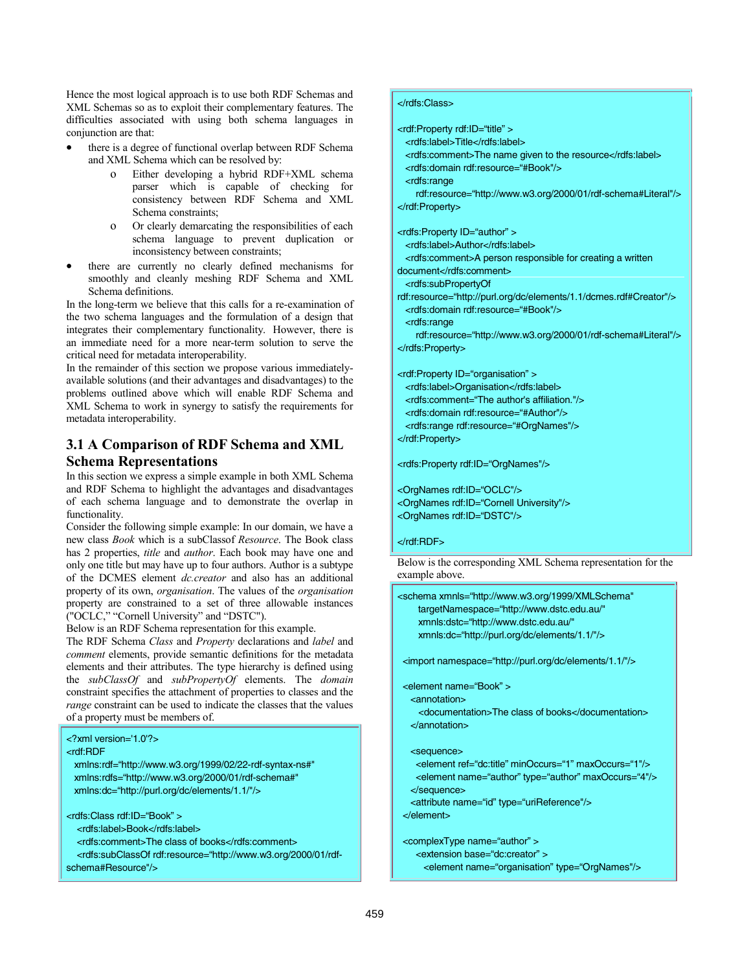Hence the most logical approach is to use both RDF Schemas and XML Schemas so as to exploit their complementary features. The difficulties associated with using both schema languages in conjunction are that:

- there is a degree of functional overlap between RDF Schema and XML Schema which can be resolved by:
	- o Either developing a hybrid RDF+XML schema parser which is capable of checking for consistency between RDF Schema and XML Schema constraints;
	- o Or clearly demarcating the responsibilities of each schema language to prevent duplication or inconsistency between constraints;
- there are currently no clearly defined mechanisms for smoothly and cleanly meshing RDF Schema and XML Schema definitions.

In the long-term we believe that this calls for a re-examination of the two schema languages and the formulation of a design that integrates their complementary functionality. However, there is an immediate need for a more near-term solution to serve the critical need for metadata interoperability.

In the remainder of this section we propose various immediatelyavailable solutions (and their advantages and disadvantages) to the problems outlined above which will enable RDF Schema and XML Schema to work in synergy to satisfy the requirements for metadata interoperability.

### **3.1 A Comparison of RDF Schema and XML Schema Representations**

In this section we express a simple example in both XML Schema and RDF Schema to highlight the advantages and disadvantages of each schema language and to demonstrate the overlap in functionality.

Consider the following simple example: In our domain, we have a new class *Book* which is a subClassof *Resource*. The Book class has 2 properties, *title* and *author*. Each book may have one and only one title but may have up to four authors. Author is a subtype of the DCMES element *dc.creator* and also has an additional property of its own, *organisation*. The values of the *organisation* property are constrained to a set of three allowable instances ("OCLC," "Cornell University" and "DSTC").

Below is an RDF Schema representation for this example.

The RDF Schema *Class* and *Property* declarations and *label* and *comment* elements, provide semantic definitions for the metadata elements and their attributes. The type hierarchy is defined using the *subClassOf* and *subPropertyOf* elements. The *domain* constraint specifies the attachment of properties to classes and the *range* constraint can be used to indicate the classes that the values of a property must be members of.

<?xml version='1.0'?>

```
<rdf:RDF
```
 xmlns:rdf="http://www.w3.org/1999/02/22-rdf-syntax-ns#" xmlns:rdfs="http://www.w3.org/2000/01/rdf-schema#" xmlns:dc="http://purl.org/dc/elements/1.1/"/>

<rdfs:Class rdf:ID="Book" >

- <rdfs:label>Book</rdfs:label>
- <rdfs:comment>The class of books</rdfs:comment>

 <rdfs:subClassOf rdf:resource="http://www.w3.org/2000/01/rdfschema#Resource"/>

#### </rdfs:Class>

<rdf:Property rdf:ID="title" >

<rdfs:label>Title</rdfs:label>

<rdfs:comment>The name given to the resource</rdfs:label>

- <rdfs:domain rdf:resource="#Book"/>
- <rdfs:range

 rdf:resource="http://www.w3.org/2000/01/rdf-schema#Literal"/> </rdf:Property>

<rdfs:Property ID="author" >

<rdfs:label>Author</rdfs:label>

<rdfs:comment>A person responsible for creating a written

document</rdfs:comment>

<rdfs:subPropertyOf

- rdf:resource="http://purl.org/dc/elements/1.1/dcmes.rdf#Creator"/>
- <rdfs:domain rdf:resource="#Book"/>
- <rdfs:range

 rdf:resource="http://www.w3.org/2000/01/rdf-schema#Literal"/> </rdfs:Property>

<rdf:Property ID="organisation" >

- <rdfs:label>Organisation</rdfs:label>
- <rdfs:comment="The author's affiliation."/>
- <rdfs:domain rdf:resource="#Author"/>
- <rdfs:range rdf:resource="#OrgNames"/>

</rdf:Property>

<rdfs:Property rdf:ID="OrgNames"/>

```
<OrgNames rdf:ID="OCLC"/> 
<OrgNames rdf:ID="Cornell University"/> 
<OrgNames rdf:ID="DSTC"/>
```
#### </rdf:RDF>

Below is the corresponding XML Schema representation for the example above.

```
<schema xmnls="http://www.w3.org/1999/XMLSchema" 
     targetNamespace="http://www.dstc.edu.au/" 
     xmnls:dstc="http://www.dstc.edu.au/" 
     xmnls:dc="http://purl.org/dc/elements/1.1/"/>
```
<import namespace="http://purl.org/dc/elements/1.1/"/>

```
 <element name="Book" >
```
<annotation>

 <documentation>The class of books</documentation> </annotation>

<sequence>

```
 <element ref="dc:title" minOccurs="1" maxOccurs="1"/> 
    <element name="author" type="author" maxOccurs="4"/> 
  </sequence> 
  <attribute name="id" type="uriReference"/> 
 </element>
```
<complexType name="author" >

- <extension base="dc:creator" >
	- <element name="organisation" type="OrgNames"/>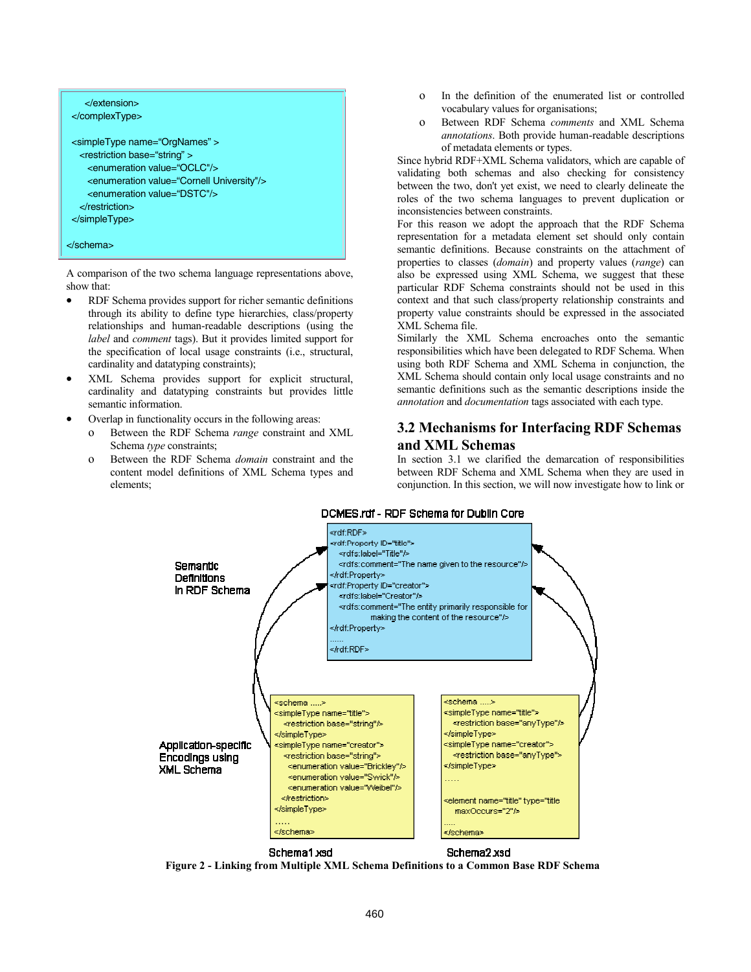

A comparison of the two schema language representations above, show that:

- RDF Schema provides support for richer semantic definitions through its ability to define type hierarchies, class/property relationships and human-readable descriptions (using the *label* and *comment* tags). But it provides limited support for the specification of local usage constraints (i.e., structural, cardinality and datatyping constraints);
- XML Schema provides support for explicit structural, cardinality and datatyping constraints but provides little semantic information.
- Overlap in functionality occurs in the following areas:
	- o Between the RDF Schema *range* constraint and XML Schema *type* constraints;
	- o Between the RDF Schema *domain* constraint and the content model definitions of XML Schema types and elements;
- o In the definition of the enumerated list or controlled vocabulary values for organisations;
- o Between RDF Schema *comments* and XML Schema *annotations*. Both provide human-readable descriptions of metadata elements or types.

Since hybrid RDF+XML Schema validators, which are capable of validating both schemas and also checking for consistency between the two, don't yet exist, we need to clearly delineate the roles of the two schema languages to prevent duplication or inconsistencies between constraints.

For this reason we adopt the approach that the RDF Schema representation for a metadata element set should only contain semantic definitions. Because constraints on the attachment of properties to classes (*domain*) and property values (*range*) can also be expressed using XML Schema, we suggest that these particular RDF Schema constraints should not be used in this context and that such class/property relationship constraints and property value constraints should be expressed in the associated XML Schema file.

Similarly the XML Schema encroaches onto the semantic responsibilities which have been delegated to RDF Schema. When using both RDF Schema and XML Schema in conjunction, the XML Schema should contain only local usage constraints and no semantic definitions such as the semantic descriptions inside the *annotation* and *documentation* tags associated with each type.

### **3.2 Mechanisms for Interfacing RDF Schemas and XML Schemas**

In section 3.1 we clarified the demarcation of responsibilities between RDF Schema and XML Schema when they are used in conjunction. In this section, we will now investigate how to link or



**Figure 2 - Linking from Multiple XML Schema Definitions to a Common Base RDF Schema**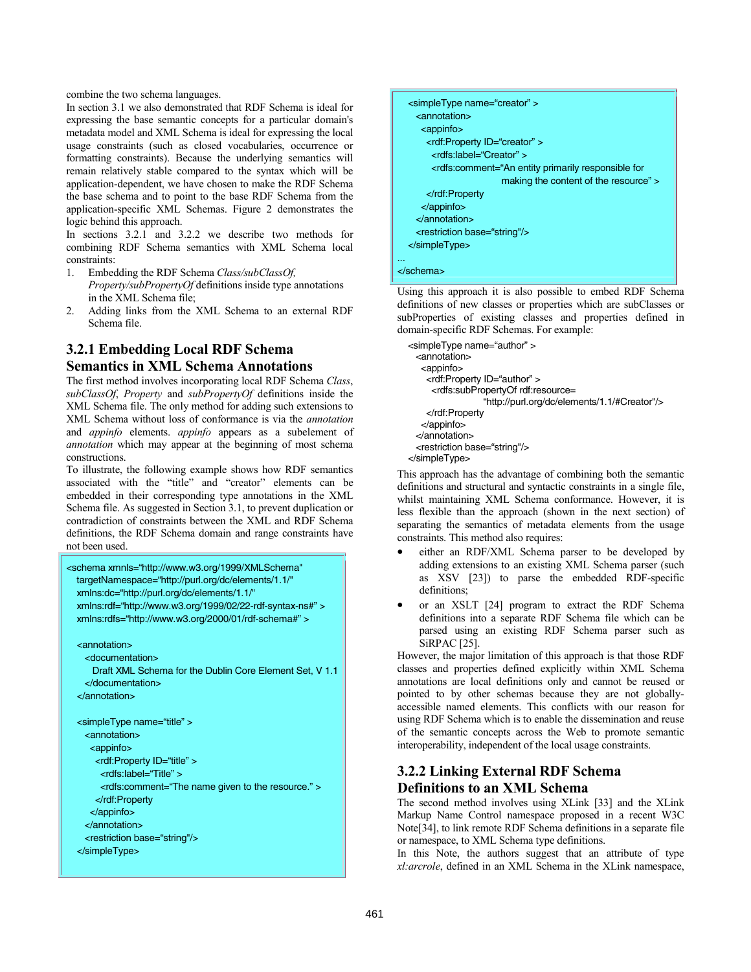combine the two schema languages.

In section 3.1 we also demonstrated that RDF Schema is ideal for expressing the base semantic concepts for a particular domain's metadata model and XML Schema is ideal for expressing the local usage constraints (such as closed vocabularies, occurrence or formatting constraints). Because the underlying semantics will remain relatively stable compared to the syntax which will be application-dependent, we have chosen to make the RDF Schema the base schema and to point to the base RDF Schema from the application-specific XML Schemas. Figure 2 demonstrates the logic behind this approach.

In sections 3.2.1 and 3.2.2 we describe two methods for combining RDF Schema semantics with XML Schema local constraints:

- 1. Embedding the RDF Schema *Class/subClassOf, Property/subPropertyOf* definitions inside type annotations in the XML Schema file;
- 2. Adding links from the XML Schema to an external RDF Schema file.

# **3.2.1 Embedding Local RDF Schema Semantics in XML Schema Annotations**

The first method involves incorporating local RDF Schema *Class*, *subClassOf*, *Property* and *subPropertyOf* definitions inside the XML Schema file. The only method for adding such extensions to XML Schema without loss of conformance is via the *annotation* and *appinfo* elements. *appinfo* appears as a subelement of *annotation* which may appear at the beginning of most schema constructions.

To illustrate, the following example shows how RDF semantics associated with the "title" and "creator" elements can be embedded in their corresponding type annotations in the XML Schema file. As suggested in Section 3.1, to prevent duplication or contradiction of constraints between the XML and RDF Schema definitions, the RDF Schema domain and range constraints have not been used.

```
<schema xmnls="http://www.w3.org/1999/XMLSchema" 
   targetNamespace="http://purl.org/dc/elements/1.1/" 
   xmlns:dc="http://purl.org/dc/elements/1.1/" 
   xmlns:rdf="http://www.w3.org/1999/02/22-rdf-syntax-ns#" > 
   xmlns:rdfs="http://www.w3.org/2000/01/rdf-schema#" > 
   <annotation> 
     <documentation> 
       Draft XML Schema for the Dublin Core Element Set, V 1.1 
     </documentation> 
   </annotation> 
   <simpleType name="title" > 
     <annotation> 
      <appinfo> 
      <rdf:Property ID="title" >
        <rdfs:label="Title" > 
        <rdfs:comment="The name given to the resource." > 
       </rdf:Property 
      </appinfo> 
     </annotation> 
     <restriction base="string"/> 
   </simpleType>
```

```
 <simpleType name="creator" > 
     <annotation> 
      <appinfo> 
        <rdf:Property ID="creator" > 
         <rdfs:label="Creator" > 
         <rdfs:comment="An entity primarily responsible for 
                           making the content of the resource" > 
        </rdf:Property 
      </appinfo> 
     </annotation> 
     <restriction base="string"/> 
   </simpleType> 
... 
</schema>
```
Using this approach it is also possible to embed RDF Schema definitions of new classes or properties which are subClasses or subProperties of existing classes and properties defined in domain-specific RDF Schemas. For example:

```
 <simpleType name="author" > 
   <annotation> 
    <appinfo> 
     <rdf:Property ID="author" > 
      <rdfs:subPropertyOf rdf:resource= 
                    "http://purl.org/dc/elements/1.1/#Creator"/> 
     </rdf:Property 
    </appinfo> 
  </annotation> 
  <restriction base="string"/> 
 </simpleType>
```
This approach has the advantage of combining both the semantic definitions and structural and syntactic constraints in a single file, whilst maintaining XML Schema conformance. However, it is less flexible than the approach (shown in the next section) of separating the semantics of metadata elements from the usage constraints. This method also requires:

- either an RDF/XML Schema parser to be developed by adding extensions to an existing XML Schema parser (such as XSV [23]) to parse the embedded RDF-specific definitions;
- or an XSLT [24] program to extract the RDF Schema definitions into a separate RDF Schema file which can be parsed using an existing RDF Schema parser such as SiRPAC [25].

However, the major limitation of this approach is that those RDF classes and properties defined explicitly within XML Schema annotations are local definitions only and cannot be reused or pointed to by other schemas because they are not globallyaccessible named elements. This conflicts with our reason for using RDF Schema which is to enable the dissemination and reuse of the semantic concepts across the Web to promote semantic interoperability, independent of the local usage constraints.

# **3.2.2 Linking External RDF Schema Definitions to an XML Schema**

The second method involves using XLink [33] and the XLink Markup Name Control namespace proposed in a recent W3C Note[34], to link remote RDF Schema definitions in a separate file or namespace, to XML Schema type definitions.

In this Note, the authors suggest that an attribute of type *xl:arcrole*, defined in an XML Schema in the XLink namespace,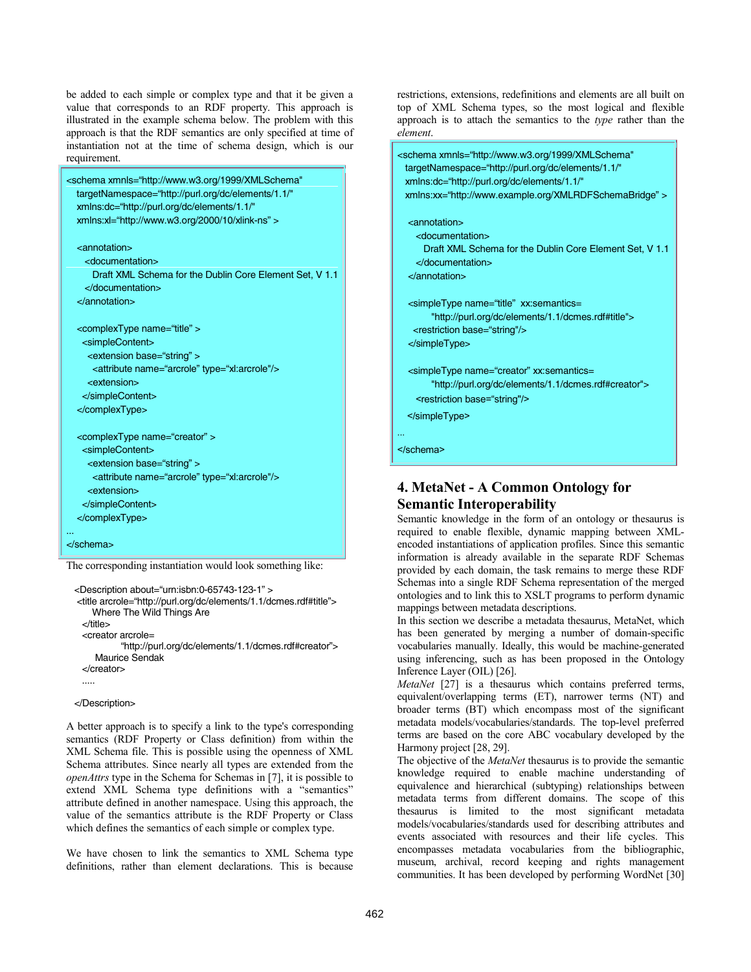be added to each simple or complex type and that it be given a value that corresponds to an RDF property. This approach is illustrated in the example schema below. The problem with this approach is that the RDF semantics are only specified at time of instantiation not at the time of schema design, which is our requirement.

```
<schema xmnls="http://www.w3.org/1999/XMLSchema" 
   targetNamespace="http://purl.org/dc/elements/1.1/" 
   xmlns:dc="http://purl.org/dc/elements/1.1/" 
   xmlns:xl="http://www.w3.org/2000/10/xlink-ns" > 
   <annotation> 
     <documentation> 
       Draft XML Schema for the Dublin Core Element Set, V 1.1 
     </documentation> 
   </annotation> 
   <complexType name="title" > 
    <simpleContent> 
     <extension base="string" > 
       <attribute name="arcrole" type="xl:arcrole"/> 
     <extension> 
    </simpleContent> 
   </complexType> 
   <complexType name="creator" > 
    <simpleContent> 
     <extension base="string" > 
       <attribute name="arcrole" type="xl:arcrole"/> 
     <extension> 
    </simpleContent> 
   </complexType> 
...
```

```
</schema>
```
The corresponding instantiation would look something like:

```
 <Description about="urn:isbn:0-65743-123-1" > 
   <title arcrole="http://purl.org/dc/elements/1.1/dcmes.rdf#title"> 
       Where The Wild Things Are 
   </title>
    <creator arcrole= 
              "http://purl.org/dc/elements/1.1/dcmes.rdf#creator"> 
       Maurice Sendak 
    </creator> 
 .....
```

```
 </Description>
```
A better approach is to specify a link to the type's corresponding semantics (RDF Property or Class definition) from within the XML Schema file. This is possible using the openness of XML Schema attributes. Since nearly all types are extended from the *openAttrs* type in the Schema for Schemas in [7], it is possible to extend XML Schema type definitions with a "semantics" attribute defined in another namespace. Using this approach, the value of the semantics attribute is the RDF Property or Class which defines the semantics of each simple or complex type.

We have chosen to link the semantics to XML Schema type definitions, rather than element declarations. This is because restrictions, extensions, redefinitions and elements are all built on top of XML Schema types, so the most logical and flexible approach is to attach the semantics to the *type* rather than the *element*.

```
<schema xmnls="http://www.w3.org/1999/XMLSchema" 
  targetNamespace="http://purl.org/dc/elements/1.1/" 
  xmlns:dc="http://purl.org/dc/elements/1.1/" 
  xmlns:xx="http://www.example.org/XMLRDFSchemaBridge" > 
   <annotation> 
     <documentation> 
      Draft XML Schema for the Dublin Core Element Set, V 1.1 
     </documentation> 
   </annotation> 
   <simpleType name="title" xx:semantics= 
        "http://purl.org/dc/elements/1.1/dcmes.rdf#title"> 
    <restriction base="string"/> 
   </simpleType> 
   <simpleType name="creator" xx:semantics= 
        "http://purl.org/dc/elements/1.1/dcmes.rdf#creator"> 
     <restriction base="string"/> 
   </simpleType> 
... 
</schema>
```
### **4. MetaNet - A Common Ontology for Semantic Interoperability**

Semantic knowledge in the form of an ontology or thesaurus is required to enable flexible, dynamic mapping between XMLencoded instantiations of application profiles. Since this semantic information is already available in the separate RDF Schemas provided by each domain, the task remains to merge these RDF Schemas into a single RDF Schema representation of the merged ontologies and to link this to XSLT programs to perform dynamic mappings between metadata descriptions.

In this section we describe a metadata thesaurus, MetaNet, which has been generated by merging a number of domain-specific vocabularies manually. Ideally, this would be machine-generated using inferencing, such as has been proposed in the Ontology Inference Layer (OIL) [26].

*MetaNet* [27] is a thesaurus which contains preferred terms, equivalent/overlapping terms (ET), narrower terms (NT) and broader terms (BT) which encompass most of the significant metadata models/vocabularies/standards. The top-level preferred terms are based on the core ABC vocabulary developed by the Harmony project [28, 29].

The objective of the *MetaNet* thesaurus is to provide the semantic knowledge required to enable machine understanding of equivalence and hierarchical (subtyping) relationships between metadata terms from different domains. The scope of this thesaurus is limited to the most significant metadata models/vocabularies/standards used for describing attributes and events associated with resources and their life cycles. This encompasses metadata vocabularies from the bibliographic, museum, archival, record keeping and rights management communities. It has been developed by performing WordNet [30]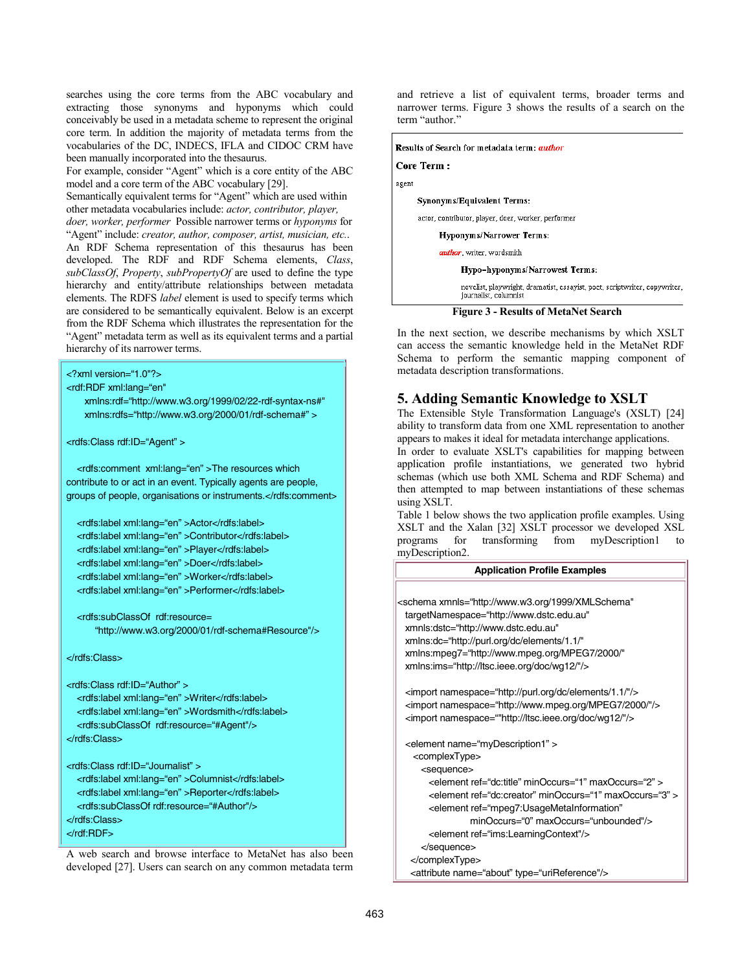searches using the core terms from the ABC vocabulary and extracting those synonyms and hyponyms which could conceivably be used in a metadata scheme to represent the original core term. In addition the majority of metadata terms from the vocabularies of the DC, INDECS, IFLA and CIDOC CRM have been manually incorporated into the thesaurus.

For example, consider "Agent" which is a core entity of the ABC model and a core term of the ABC vocabulary [29].

Semantically equivalent terms for "Agent" which are used within other metadata vocabularies include: *actor, contributor, player,* 

*doer, worker, performer* Possible narrower terms or *hyponyms* for "Agent" include: *creator, author, composer, artist, musician, etc.*. An RDF Schema representation of this thesaurus has been developed. The RDF and RDF Schema elements, *Class*, *subClassOf*, *Property*, *subPropertyOf* are used to define the type hierarchy and entity/attribute relationships between metadata elements. The RDFS *label* element is used to specify terms which are considered to be semantically equivalent. Below is an excerpt from the RDF Schema which illustrates the representation for the "Agent" metadata term as well as its equivalent terms and a partial hierarchy of its narrower terms.

<?xml version="1.0"?>

<rdf:RDF xml:lang="en"

 xmlns:rdf="http://www.w3.org/1999/02/22-rdf-syntax-ns#" xmlns:rdfs="http://www.w3.org/2000/01/rdf-schema#" >

<rdfs:Class rdf:ID="Agent" >

 <rdfs:comment xml:lang="en" >The resources which contribute to or act in an event. Typically agents are people, groups of people, organisations or instruments.</rdfs:comment>

 <rdfs:label xml:lang="en" >Actor</rdfs:label> <rdfs:label xml:lang="en" >Contributor</rdfs:label> <rdfs:label xml:lang="en" >Player</rdfs:label> <rdfs:label xml:lang="en" >Doer</rdfs:label> <rdfs:label xml:lang="en" >Worker</rdfs:label> <rdfs:label xml:lang="en" >Performer</rdfs:label>

 <rdfs:subClassOf rdf:resource= "http://www.w3.org/2000/01/rdf-schema#Resource"/>

</rdfs:Class>

```
<rdfs:Class rdf:ID="Author" > 
   <rdfs:label xml:lang="en" >Writer</rdfs:label> 
   <rdfs:label xml:lang="en" >Wordsmith</rdfs:label> 
   <rdfs:subClassOf rdf:resource="#Agent"/> 
</rdfs:Class>
```

```
<rdfs:Class rdf:ID="Journalist" > 
   <rdfs:label xml:lang="en" >Columnist</rdfs:label> 
   <rdfs:label xml:lang="en" >Reporter</rdfs:label> 
   <rdfs:subClassOf rdf:resource="#Author"/> 
</rdfs:Class> 
</rdf:RDF>
```
A web search and browse interface to MetaNet has also been developed [27]. Users can search on any common metadata term and retrieve a list of equivalent terms, broader terms and narrower terms. Figure 3 shows the results of a search on the term "author."

Results of Search for metadata term: *author* 

Core Term:

agent

Synonyms/Equivalent Terms:

actor, contributor, player, doer, worker, performer

Hyponyms/Narrower Terms:

author, writer, wordsmith

Hypo-hyponyms/Narrowest Terms:

novelist, playwright, dramatist, essayist, poet, scriptwriter, copywriter, journalist, columnist

**Figure 3 - Results of MetaNet Search** 

In the next section, we describe mechanisms by which XSLT can access the semantic knowledge held in the MetaNet RDF Schema to perform the semantic mapping component of metadata description transformations.

## **5. Adding Semantic Knowledge to XSLT**

The Extensible Style Transformation Language's (XSLT) [24] ability to transform data from one XML representation to another appears to makes it ideal for metadata interchange applications.

In order to evaluate XSLT's capabilities for mapping between application profile instantiations, we generated two hybrid schemas (which use both XML Schema and RDF Schema) and then attempted to map between instantiations of these schemas using XSLT.

Table 1 below shows the two application profile examples. Using XSLT and the Xalan [32] XSLT processor we developed XSL programs for transforming from myDescription1 to myDescription2.

### **Application Profile Examples**

<schema xmnls="http://www.w3.org/1999/XMLSchema" targetNamespace="http://www.dstc.edu.au" xmnls:dstc="http://www.dstc.edu.au" xmlns:dc="http://purl.org/dc/elements/1.1/" xmlns:mpeg7="http://www.mpeg.org/MPEG7/2000/" xmlns:ims="http://ltsc.ieee.org/doc/wg12/"/>

 <import namespace="http://purl.org/dc/elements/1.1/"/> <import namespace="http://www.mpeg.org/MPEG7/2000/"/> <import namespace=""http://ltsc.ieee.org/doc/wg12/"/>

 <element name="myDescription1" > <complexType> <sequence> <element ref="dc:title" minOccurs="1" maxOccurs="2" > <element ref="dc:creator" minOccurs="1" maxOccurs="3" > <element ref="mpeg7:UsageMetaInformation" minOccurs="0" maxOccurs="unbounded"/> <element ref="ims:LearningContext"/> </sequence>

</complexType>

<attribute name="about" type="uriReference"/>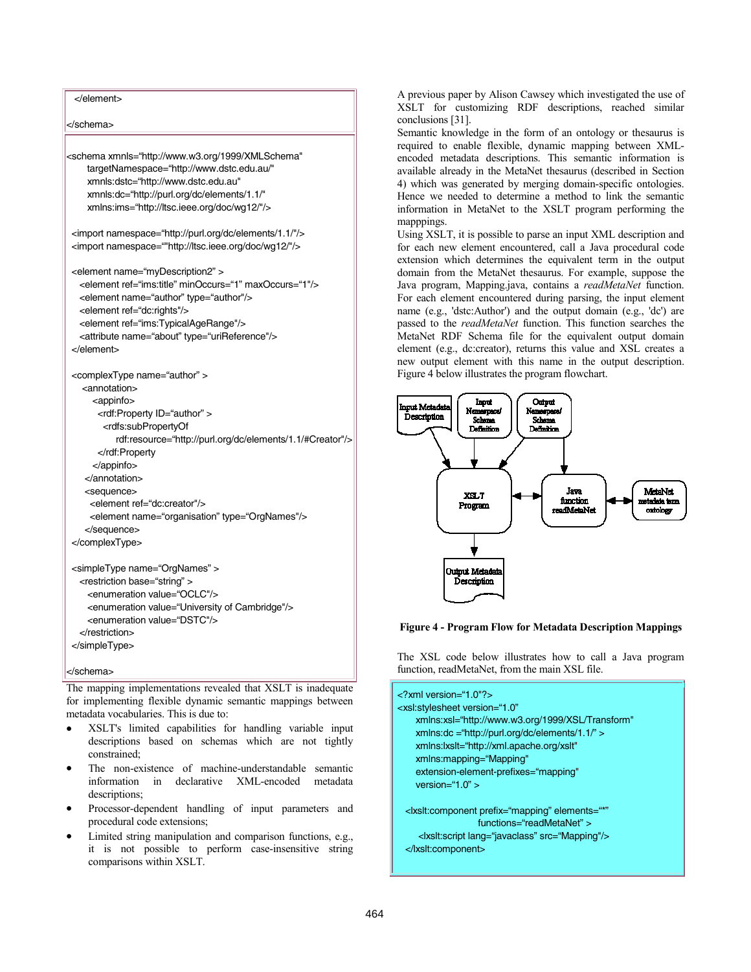### </element> </schema> <schema xmnls="http://www.w3.org/1999/XMLSchema" targetNamespace="http://www.dstc.edu.au/" xmnls:dstc="http://www.dstc.edu.au" xmnls:dc="http://purl.org/dc/elements/1.1/" xmlns:ims="http://ltsc.ieee.org/doc/wg12/"/> <import namespace="http://purl.org/dc/elements/1.1/"/> <import namespace=""http://ltsc.ieee.org/doc/wg12/"/> <element name="myDescription2" > <element ref="ims:title" minOccurs="1" maxOccurs="1"/> <element name="author" type="author"/> <element ref="dc:rights"/> <element ref="ims:TypicalAgeRange"/> <attribute name="about" type="uriReference"/> </element> <complexType name="author" > <annotation> <appinfo> <rdf:Property ID="author" > <rdfs:subPropertyOf rdf:resource="http://purl.org/dc/elements/1.1/#Creator"/> </rdf:Property </appinfo> </annotation> <sequence> <element ref="dc:creator"/> <element name="organisation" type="OrgNames"/> </sequence> </complexType> <simpleType name="OrgNames" > <restriction base="string" > <enumeration value="OCLC"/> <enumeration value="University of Cambridge"/> <enumeration value="DSTC"/> </restriction> </simpleType>

</schema>

The mapping implementations revealed that XSLT is inadequate for implementing flexible dynamic semantic mappings between metadata vocabularies. This is due to:

- XSLT's limited capabilities for handling variable input descriptions based on schemas which are not tightly constrained;
- The non-existence of machine-understandable semantic<br>information in declarative XML-encoded metadata in declarative XML-encoded metadata descriptions;
- Processor-dependent handling of input parameters and procedural code extensions;
- Limited string manipulation and comparison functions, e.g., it is not possible to perform case-insensitive string comparisons within XSLT.

A previous paper by Alison Cawsey which investigated the use of XSLT for customizing RDF descriptions, reached similar conclusions [31].

Semantic knowledge in the form of an ontology or thesaurus is required to enable flexible, dynamic mapping between XMLencoded metadata descriptions. This semantic information is available already in the MetaNet thesaurus (described in Section 4) which was generated by merging domain-specific ontologies. Hence we needed to determine a method to link the semantic information in MetaNet to the XSLT program performing the mapppings.

Using XSLT, it is possible to parse an input XML description and for each new element encountered, call a Java procedural code extension which determines the equivalent term in the output domain from the MetaNet thesaurus. For example, suppose the Java program, Mapping.java, contains a *readMetaNet* function. For each element encountered during parsing, the input element name (e.g., 'dstc:Author') and the output domain (e.g., 'dc') are passed to the *readMetaNet* function. This function searches the MetaNet RDF Schema file for the equivalent output domain element (e.g., dc:creator), returns this value and XSL creates a new output element with this name in the output description. Figure 4 below illustrates the program flowchart.



#### **Figure 4 - Program Flow for Metadata Description Mappings**

The XSL code below illustrates how to call a Java program function, readMetaNet, from the main XSL file.

```
<?xml version="1.0"?> 
<xsl:stylesheet version="1.0" 
     xmlns:xsl="http://www.w3.org/1999/XSL/Transform" 
     xmlns:dc ="http://purl.org/dc/elements/1.1/" > 
     xmlns:lxslt="http://xml.apache.org/xslt" 
     xmlns:mapping="Mapping" 
     extension-element-prefixes="mapping" 
    version=4.0" >
  <lxslt:component prefix="mapping" elements="*" 
                    functions="readMetaNet" > 
      <lxslt:script lang="javaclass" src="Mapping"/> 
  </lxslt:component>
```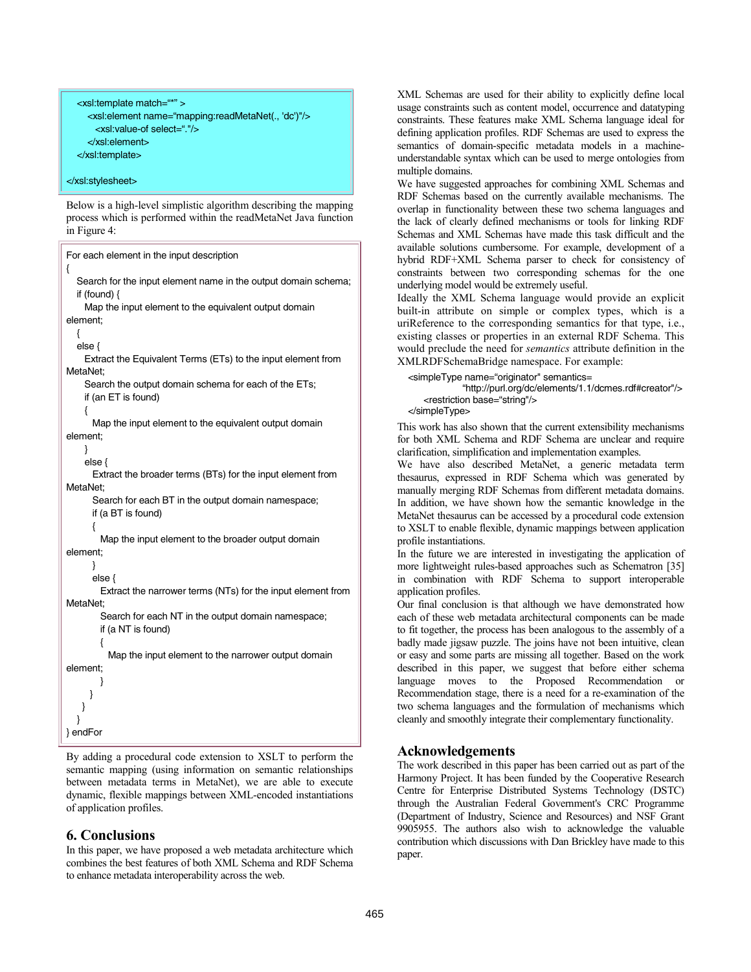```
 <xsl:template match="*" > 
   <xsl:element name="mapping:readMetaNet(., 'dc')"/> 
     <xsl:value-of select="."/> 
   </xsl:element> 
 </xsl:template>
```
#### </xsl:stylesheet>

Below is a high-level simplistic algorithm describing the mapping process which is performed within the readMetaNet Java function in Figure 4:

```
For each element in the input description 
{ 
   Search for the input element name in the output domain schema; 
   if (found) { 
     Map the input element to the equivalent output domain 
element; 
 { 
   else { 
     Extract the Equivalent Terms (ETs) to the input element from 
MetaNet; 
     Search the output domain schema for each of the ETs; 
     if (an ET is found) 
\{ Map the input element to the equivalent output domain 
element; 
     } 
     else { 
       Extract the broader terms (BTs) for the input element from 
MetaNet; 
       Search for each BT in the output domain namespace; 
       if (a BT is found) 
       { 
         Map the input element to the broader output domain 
element; 
 } 
       else { 
         Extract the narrower terms (NTs) for the input element from 
MetaNet; 
         Search for each NT in the output domain namespace; 
         if (a NT is found) 
         { 
           Map the input element to the narrower output domain 
element; 
 } 
      } 
    } 
   } 
} endFor
```
By adding a procedural code extension to XSLT to perform the semantic mapping (using information on semantic relationships between metadata terms in MetaNet), we are able to execute dynamic, flexible mappings between XML-encoded instantiations of application profiles.

#### **6. Conclusions**

In this paper, we have proposed a web metadata architecture which combines the best features of both XML Schema and RDF Schema to enhance metadata interoperability across the web.

XML Schemas are used for their ability to explicitly define local usage constraints such as content model, occurrence and datatyping constraints. These features make XML Schema language ideal for defining application profiles. RDF Schemas are used to express the semantics of domain-specific metadata models in a machineunderstandable syntax which can be used to merge ontologies from multiple domains.

We have suggested approaches for combining XML Schemas and RDF Schemas based on the currently available mechanisms. The overlap in functionality between these two schema languages and the lack of clearly defined mechanisms or tools for linking RDF Schemas and XML Schemas have made this task difficult and the available solutions cumbersome. For example, development of a hybrid RDF+XML Schema parser to check for consistency of constraints between two corresponding schemas for the one underlying model would be extremely useful.

Ideally the XML Schema language would provide an explicit built-in attribute on simple or complex types, which is a uriReference to the corresponding semantics for that type, i.e., existing classes or properties in an external RDF Schema. This would preclude the need for *semantics* attribute definition in the XMLRDFSchemaBridge namespace. For example:

<simpleType name="originator" semantics=

 "http://purl.org/dc/elements/1.1/dcmes.rdf#creator"/> <restriction base="string"/>

</simpleType>

This work has also shown that the current extensibility mechanisms for both XML Schema and RDF Schema are unclear and require clarification, simplification and implementation examples.

We have also described MetaNet, a generic metadata term thesaurus, expressed in RDF Schema which was generated by manually merging RDF Schemas from different metadata domains. In addition, we have shown how the semantic knowledge in the MetaNet thesaurus can be accessed by a procedural code extension to XSLT to enable flexible, dynamic mappings between application profile instantiations.

In the future we are interested in investigating the application of more lightweight rules-based approaches such as Schematron [35] in combination with RDF Schema to support interoperable application profiles.

Our final conclusion is that although we have demonstrated how each of these web metadata architectural components can be made to fit together, the process has been analogous to the assembly of a badly made jigsaw puzzle. The joins have not been intuitive, clean or easy and some parts are missing all together. Based on the work described in this paper, we suggest that before either schema language moves to the Proposed Recommendation or Recommendation stage, there is a need for a re-examination of the two schema languages and the formulation of mechanisms which cleanly and smoothly integrate their complementary functionality.

#### **Acknowledgements**

The work described in this paper has been carried out as part of the Harmony Project. It has been funded by the Cooperative Research Centre for Enterprise Distributed Systems Technology (DSTC) through the Australian Federal Government's CRC Programme (Department of Industry, Science and Resources) and NSF Grant 9905955. The authors also wish to acknowledge the valuable contribution which discussions with Dan Brickley have made to this paper.